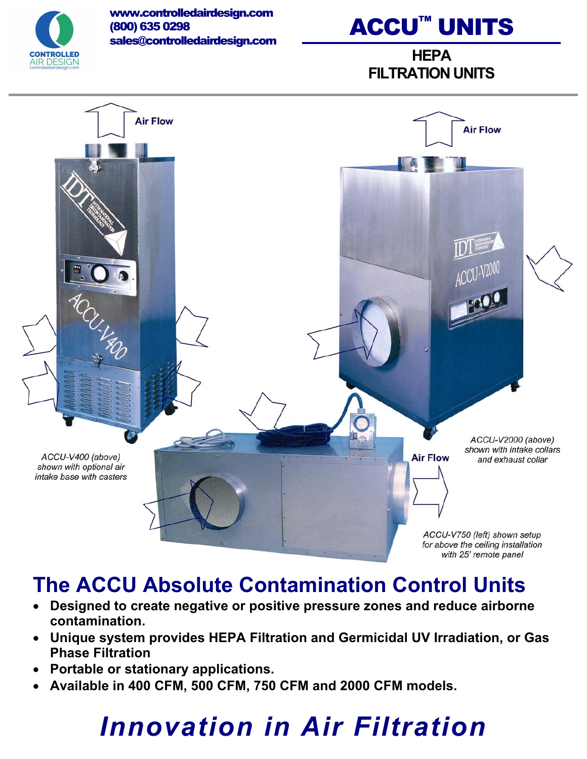

www.controlledairdesign.com (800) 635 0298 sales@controlledairdesign.com

## ACCU™ UNITS

**HEPA FILTRATION UNITS** 



### **The ACCU Absolute Contamination Control Units**

- x **Designed to create negative or positive pressure zones and reduce airborne contamination.**
- x **Unique system provides HEPA Filtration and Germicidal UV Irradiation, or Gas Phase Filtration**
- x **Portable or stationary applications.**
- x **Available in 400 CFM, 500 CFM, 750 CFM and 2000 CFM models.**

## *Innovation in Air Filtration*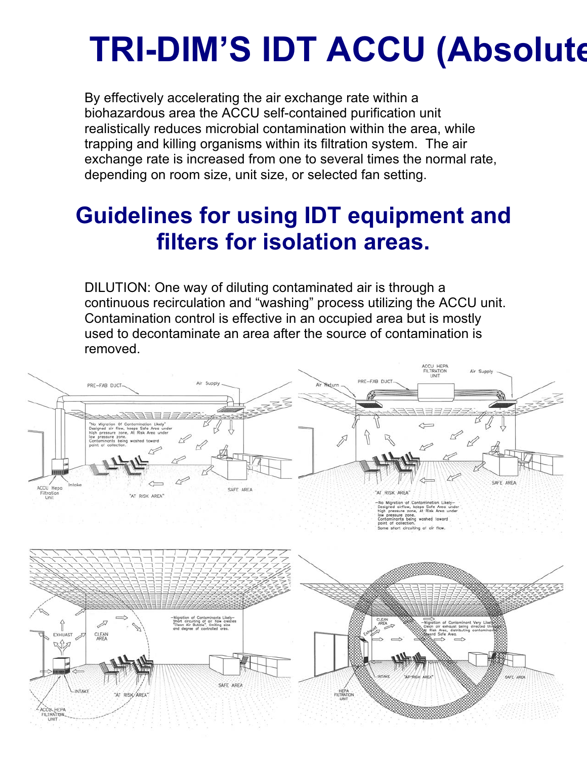# **TRI-DIM'S IDT ACCU (Absolute**

By effectively accelerating the air exchange rate within a biohazardous area the ACCU self-contained purification unit realistically reduces microbial contamination within the area, while trapping and killing organisms within its filtration system. The air exchange rate is increased from one to several times the normal rate, depending on room size, unit size, or selected fan setting.

### **Guidelines for using IDT equipment and filters for isolation areas.**

DILUTION: One way of diluting contaminated air is through a continuous recirculation and "washing" process utilizing the ACCU unit. Contamination control is effective in an occupied area but is mostly used to decontaminate an area after the source of contamination is removed.

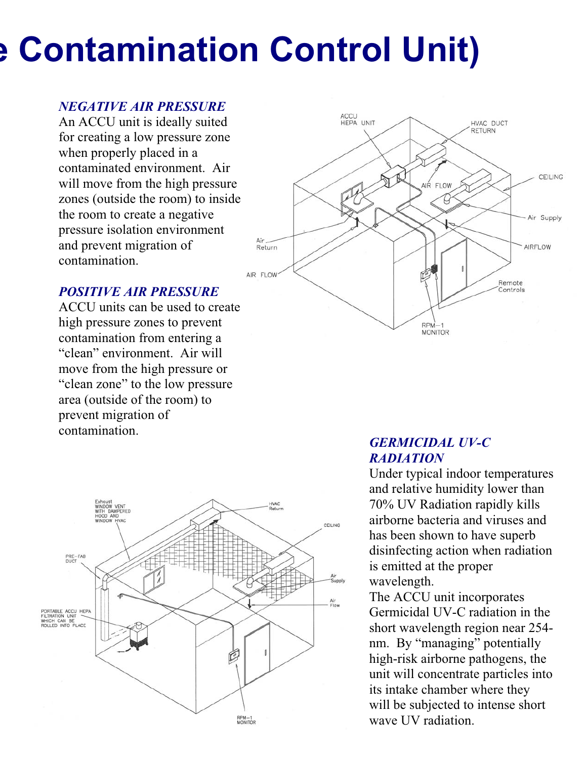# **e Contamination Control Unit)**

#### *NEGATIVE AIR PRESSURE*

An ACCU unit is ideally suited for creating a low pressure zone when properly placed in a contaminated environment. Air will move from the high pressure zones (outside the room) to inside the room to create a negative pressure isolation environment and prevent migration of contamination.



#### *POSITIVE AIR PRESSURE*

ACCU units can be used to create high pressure zones to prevent contamination from entering a "clean" environment. Air will move from the high pressure or "clean zone" to the low pressure area (outside of the room) to prevent migration of contamination.



#### *GERMICIDAL UV-C RADIATION*

Under typical indoor temperatures and relative humidity lower than 70% UV Radiation rapidly kills airborne bacteria and viruses and has been shown to have superb disinfecting action when radiation is emitted at the proper wavelength.

The ACCU unit incorporates Germicidal UV-C radiation in the short wavelength region near 254 nm. By "managing" potentially high-risk airborne pathogens, the unit will concentrate particles into its intake chamber where they will be subjected to intense short wave UV radiation.